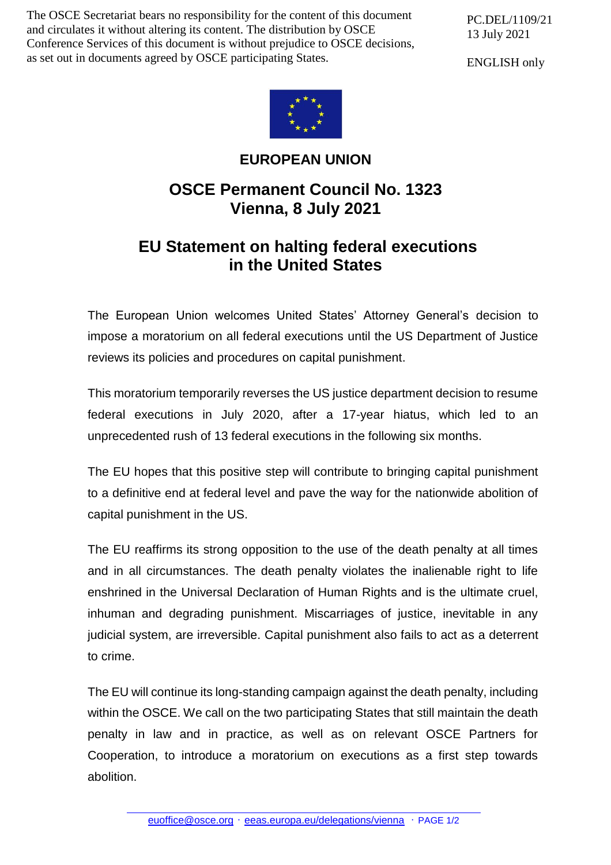The OSCE Secretariat bears no responsibility for the content of this document and circulates it without altering its content. The distribution by OSCE Conference Services of this document is without prejudice to OSCE decisions, as set out in documents agreed by OSCE participating States.

PC.DEL/1109/21 13 July 2021

ENGLISH only



## **EUROPEAN UNION**

## **OSCE Permanent Council No. 1323 Vienna, 8 July 2021**

## **EU Statement on halting federal executions in the United States**

The European Union welcomes United States' Attorney General's decision to impose a moratorium on all federal executions until the US Department of Justice reviews its policies and procedures on capital punishment.

This moratorium temporarily reverses the US justice department decision to resume federal executions in July 2020, after a 17-year hiatus, which led to an unprecedented rush of 13 federal executions in the following six months.

The EU hopes that this positive step will contribute to bringing capital punishment to a definitive end at federal level and pave the way for the nationwide abolition of capital punishment in the US.

The EU reaffirms its strong opposition to the use of the death penalty at all times and in all circumstances. The death penalty violates the inalienable right to life enshrined in the Universal Declaration of Human Rights and is the ultimate cruel, inhuman and degrading punishment. Miscarriages of justice, inevitable in any judicial system, are irreversible. Capital punishment also fails to act as a deterrent to crime.

The EU will continue its long-standing campaign against the death penalty, including within the OSCE. We call on the two participating States that still maintain the death penalty in law and in practice, as well as on relevant OSCE Partners for Cooperation, to introduce a moratorium on executions as a first step towards abolition.